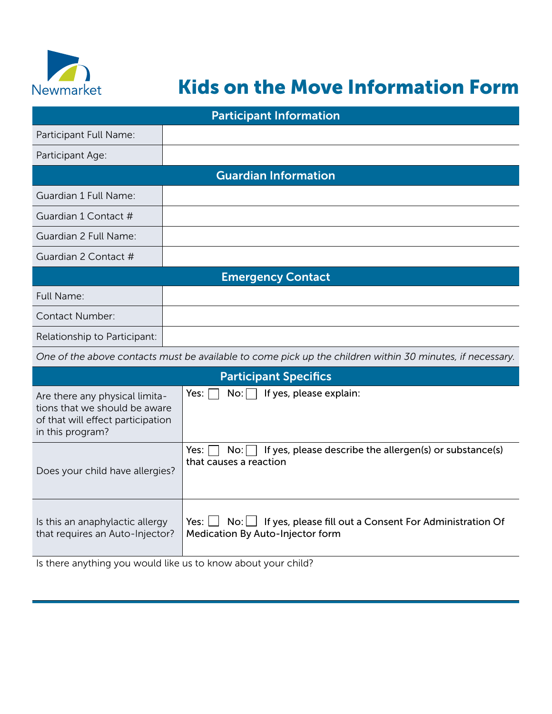

## Kids on the Move Information Form

| <b>Participant Information</b>                                                                                           |                                                                                                                     |  |  |  |  |  |  |
|--------------------------------------------------------------------------------------------------------------------------|---------------------------------------------------------------------------------------------------------------------|--|--|--|--|--|--|
| Participant Full Name:                                                                                                   |                                                                                                                     |  |  |  |  |  |  |
| Participant Age:                                                                                                         |                                                                                                                     |  |  |  |  |  |  |
| <b>Guardian Information</b>                                                                                              |                                                                                                                     |  |  |  |  |  |  |
| Guardian 1 Full Name:                                                                                                    |                                                                                                                     |  |  |  |  |  |  |
| Guardian 1 Contact #                                                                                                     |                                                                                                                     |  |  |  |  |  |  |
| Guardian 2 Full Name:                                                                                                    |                                                                                                                     |  |  |  |  |  |  |
| Guardian 2 Contact #                                                                                                     |                                                                                                                     |  |  |  |  |  |  |
| <b>Emergency Contact</b>                                                                                                 |                                                                                                                     |  |  |  |  |  |  |
| Full Name:                                                                                                               |                                                                                                                     |  |  |  |  |  |  |
| Contact Number:                                                                                                          |                                                                                                                     |  |  |  |  |  |  |
| Relationship to Participant:                                                                                             |                                                                                                                     |  |  |  |  |  |  |
|                                                                                                                          | One of the above contacts must be available to come pick up the children within 30 minutes, if necessary.           |  |  |  |  |  |  |
|                                                                                                                          | <b>Participant Specifics</b>                                                                                        |  |  |  |  |  |  |
| Are there any physical limita-<br>tions that we should be aware<br>of that will effect participation<br>in this program? | If yes, please explain:<br>Yes:<br>No:                                                                              |  |  |  |  |  |  |
| Does your child have allergies?                                                                                          | If yes, please describe the allergen(s) or substance(s)<br>Yes:<br>No:<br>that causes a reaction                    |  |  |  |  |  |  |
| Is this an anaphylactic allergy<br>that requires an Auto-Injector?                                                       | Yes: $\lfloor$<br>$No:$ If yes, please fill out a Consent For Administration Of<br>Medication By Auto-Injector form |  |  |  |  |  |  |

Is there anything you would like us to know about your child?